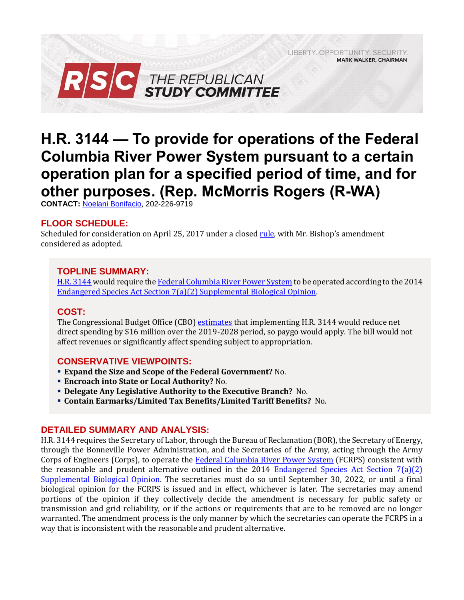LIBERTY. OPPORTUNITY. SECURITY. **MARK WALKER, CHAIRMAN** 



# **H.R. 3144 — To provide for operations of the Federal Columbia River Power System pursuant to a certain operation plan for a specified period of time, and for other purposes. (Rep. McMorris Rogers (R-WA)**

**CONTACT:** [Noelani Bonifacio,](mailto:Noelani.Bonifacio@mail.house.gov) 202-226-9719

# **FLOOR SCHEDULE:**

Scheduled for consideration on April 25, 2017 under a closed <u>[rule](https://rules.house.gov/sites/republicans.rules.house.gov/files/Rule_HR4HR3144.pdf)</u>, with Mr. Bishop's amendment considered as adopted.

## **TOPLINE SUMMARY:**

[H.R. 3144](https://www.gpo.gov/fdsys/pkg/BILLS-115hr3144rh/pdf/BILLS-115hr3144rh.pdf) would require th[e Federal Columbia River Power System](https://www.usbr.gov/pn/fcrps/index.html) to be operated according to the 2014 [Endangered Species Act Section 7\(a\)\(2\) Supplemental Biological Opinion.](http://www.westcoast.fisheries.noaa.gov/publications/hydropower/fcrps/2013_draft_fcrps_biological_opinion_090913.pdf)

## **COST:**

The Congressional Budget Office (CBO) [estimates](https://www.cbo.gov/system/files/115th-congress-2017-2018/costestimate/hr3144.pdf) that implementing H.R. 3144 would reduce net direct spending by \$16 million over the 2019-2028 period, so paygo would apply. The bill would not affect revenues or significantly affect spending subject to appropriation.

## **CONSERVATIVE VIEWPOINTS:**

- **Expand the Size and Scope of the Federal Government?** No.
- **Encroach into State or Local Authority?** No.
- **Delegate Any Legislative Authority to the Executive Branch?** No.
- **Contain Earmarks/Limited Tax Benefits/Limited Tariff Benefits?** No.

#### **DETAILED SUMMARY AND ANALYSIS:**

H.R. 3144 requires the Secretary of Labor, through the Bureau of Reclamation (BOR), the Secretary of Energy, through the Bonneville Power Administration, and the Secretaries of the Army, acting through the Army Corps of Engineers (Corps), to operate the [Federal Columbia River Power System](https://www.usbr.gov/pn/fcrps/index.html) (FCRPS) consistent with the reasonable and prudent alternative outlined in the 2014 [Endangered Species Act Section 7\(a\)\(2\)](http://www.westcoast.fisheries.noaa.gov/publications/hydropower/fcrps/2013_draft_fcrps_biological_opinion_090913.pdf)  [Supplemental Biological Opinion.](http://www.westcoast.fisheries.noaa.gov/publications/hydropower/fcrps/2013_draft_fcrps_biological_opinion_090913.pdf) The secretaries must do so until September 30, 2022, or until a final biological opinion for the FCRPS is issued and in effect, whichever is later. The secretaries may amend portions of the opinion if they collectively decide the amendment is necessary for public safety or transmission and grid reliability, or if the actions or requirements that are to be removed are no longer warranted. The amendment process is the only manner by which the secretaries can operate the FCRPS in a way that is inconsistent with the reasonable and prudent alternative.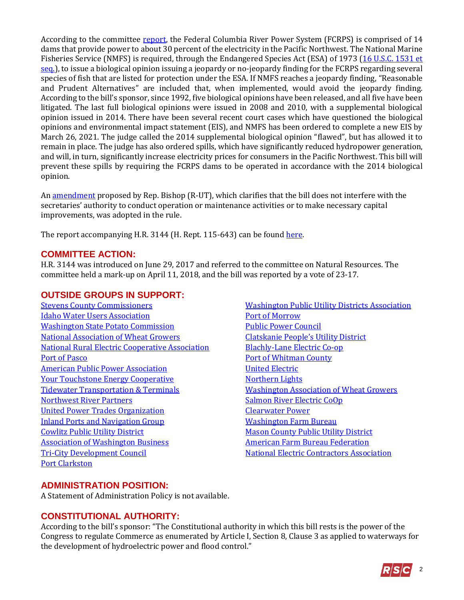According to the committee [report,](https://www.congress.gov/115/crpt/hrpt643/CRPT-115hrpt643-pt1.pdf) the Federal Columbia River Power System (FCRPS) is comprised of 14 dams that provide power to about 30 percent of the electricity in the Pacific Northwest. The National Marine Fisheries Service (NMFS) is required, through the Endangered Species Act (ESA) of 1973 (16 U.S.C. 1531 et [seq.\)](http://uscode.house.gov/view.xhtml?req=(title:16%20section:1531%20edition:prelim)%20OR%20(granuleid:USC-prelim-title16-section1531)&f=treesort&edition=prelim&num=0&jumpTo=true), to issue a biological opinion issuing a jeopardy or no-jeopardy finding for the FCRPS regarding several species of fish that are listed for protection under the ESA. If NMFS reaches a jeopardy finding, "Reasonable and Prudent Alternatives" are included that, when implemented, would avoid the jeopardy finding. According to the bill's sponsor, since 1992, five biological opinions have been released, and all five have been litigated. The last full biological opinions were issued in 2008 and 2010, with a supplemental biological opinion issued in 2014. There have been several recent court cases which have questioned the biological opinions and environmental impact statement (EIS), and NMFS has been ordered to complete a new EIS by March 26, 2021. The judge called the 2014 supplemental biological opinion "flawed", but has allowed it to remain in place. The judge has also ordered spills, which have significantly reduced hydropower generation, and will, in turn, significantly increase electricity prices for consumers in the Pacific Northwest. This bill will prevent these spills by requiring the FCRPS dams to be operated in accordance with the 2014 biological opinion.

A[n amendment](https://amendments-rules.house.gov/amendments/BISHUT_058_xml%20(002)42018131000100.pdf) proposed by Rep. Bishop (R-UT), which clarifies that the bill does not interfere with the secretaries' authority to conduct operation or maintenance activities or to make necessary capital improvements, was adopted in the rule.

The report accompanying H.R. 3144 (H. Rept. 115-643) can be found [here.](https://www.congress.gov/115/crpt/hrpt643/CRPT-115hrpt643-pt1.pdf)

### **COMMITTEE ACTION:**

H.R. 3144 was introduced on June 29, 2017 and referred to the committee on Natural Resources. The committee held a mark-up on April 11, 2018, and the bill was reported by a vote of 23-17.

# **OUTSIDE GROUPS IN SUPPORT:**

[Stevens County Commissioners](https://naturalresources.house.gov/uploadedfiles/suppotgroupswpo.pdf) [Idaho Water Users Association](https://naturalresources.house.gov/uploadedfiles/suppotgroupswpo.pdf) [Washington State Potato Commission](https://naturalresources.house.gov/uploadedfiles/suppotgroupswpo.pdf) [National Association of Wheat Growers](https://naturalresources.house.gov/uploadedfiles/suppotgroupswpo.pdf) [National Rural Electric Cooperative Association](https://naturalresources.house.gov/uploadedfiles/suppotgroupswpo.pdf) [Port of Pasco](https://naturalresources.house.gov/uploadedfiles/suppotgroupswpo.pdf) [American Public Power Association](https://naturalresources.house.gov/uploadedfiles/suppotgroupswpo.pdf) [Your Touchstone Energy Cooperative](https://naturalresources.house.gov/uploadedfiles/suppotgroupswpo.pdf) [Tidewater Transportation & Terminals](https://naturalresources.house.gov/uploadedfiles/suppotgroupswpo.pdf) [Northwest River](https://naturalresources.house.gov/uploadedfiles/suppotgroupswpo.pdf) Partners [United Power Trades Organization](https://naturalresources.house.gov/uploadedfiles/suppotgroupswpo.pdf) [Inland Ports and Navigation Group](https://naturalresources.house.gov/uploadedfiles/suppotgroupswpo.pdf) [Cowlitz Public Utility District](https://naturalresources.house.gov/uploadedfiles/suppotgroupswpo.pdf) [Association of Washington Business](https://naturalresources.house.gov/uploadedfiles/suppotgroupswpo.pdf) [Tri-City Development Council](https://naturalresources.house.gov/uploadedfiles/suppotgroupswpo.pdf) [Port Clarkston](https://naturalresources.house.gov/uploadedfiles/suppotgroupswpo.pdf)

[Washington Public Utility Districts Association](https://naturalresources.house.gov/uploadedfiles/suppotgroupswpo.pdf) [Port of Morrow](https://naturalresources.house.gov/uploadedfiles/suppotgroupswpo.pdf) [Public Power Council](https://naturalresources.house.gov/uploadedfiles/suppotgroupswpo.pdf) [Clatskanie People's Utility District](https://naturalresources.house.gov/uploadedfiles/suppotgroupswpo.pdf) [Blachly-Lane Electric Co-op](https://naturalresources.house.gov/uploadedfiles/suppotgroupswpo.pdf) [Port of Whitman County](https://naturalresources.house.gov/uploadedfiles/suppotgroupswpo.pdf) [United Electric](https://naturalresources.house.gov/uploadedfiles/suppotgroupswpo.pdf) [Northern Lights](https://naturalresources.house.gov/uploadedfiles/suppotgroupswpo.pdf) [Washington Association of Wheat Growers](https://naturalresources.house.gov/uploadedfiles/suppotgroupswpo.pdf) [Salmon River Electric CoOp](https://naturalresources.house.gov/uploadedfiles/suppotgroupswpo.pdf) [Clearwater Power](https://naturalresources.house.gov/uploadedfiles/suppotgroupswpo.pdf) [Washington Farm Bureau](https://naturalresources.house.gov/uploadedfiles/suppotgroupswpo.pdf) [Mason County Public Utility District](https://naturalresources.house.gov/uploadedfiles/suppotgroupswpo.pdf) [American Farm Bureau Federation](https://naturalresources.house.gov/uploadedfiles/suppotgroupswpo.pdf) [National Electric Contractors Association](https://naturalresources.house.gov/uploadedfiles/suppotgroupswpo.pdf)

## **ADMINISTRATION POSITION:**

A Statement of Administration Policy is not available.

## **CONSTITUTIONAL AUTHORITY:**

According to the bill's sponsor: "The Constitutional authority in which this bill rests is the power of the Congress to regulate Commerce as enumerated by Article I, Section 8, Clause 3 as applied to waterways for the development of hydroelectric power and flood control."